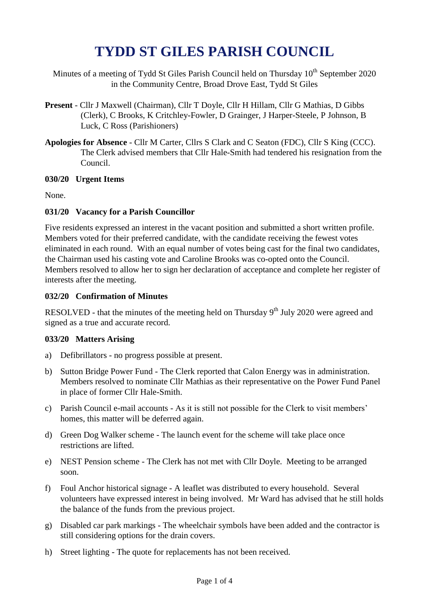# **TYDD ST GILES PARISH COUNCIL**

Minutes of a meeting of Tydd St Giles Parish Council held on Thursday  $10<sup>th</sup>$  September 2020 in the Community Centre, Broad Drove East, Tydd St Giles

- **Present** Cllr J Maxwell (Chairman), Cllr T Doyle, Cllr H Hillam, Cllr G Mathias, D Gibbs (Clerk), C Brooks, K Critchley-Fowler, D Grainger, J Harper-Steele, P Johnson, B Luck, C Ross (Parishioners)
- **Apologies for Absence** Cllr M Carter, Cllrs S Clark and C Seaton (FDC), Cllr S King (CCC). The Clerk advised members that Cllr Hale-Smith had tendered his resignation from the Council.

## **030/20 Urgent Items**

None.

## **031/20 Vacancy for a Parish Councillor**

Five residents expressed an interest in the vacant position and submitted a short written profile. Members voted for their preferred candidate, with the candidate receiving the fewest votes eliminated in each round. With an equal number of votes being cast for the final two candidates, the Chairman used his casting vote and Caroline Brooks was co-opted onto the Council. Members resolved to allow her to sign her declaration of acceptance and complete her register of interests after the meeting.

## **032/20 Confirmation of Minutes**

RESOLVED - that the minutes of the meeting held on Thursday  $9<sup>th</sup>$  July 2020 were agreed and signed as a true and accurate record.

#### **033/20 Matters Arising**

- a) Defibrillators no progress possible at present.
- b) Sutton Bridge Power Fund The Clerk reported that Calon Energy was in administration. Members resolved to nominate Cllr Mathias as their representative on the Power Fund Panel in place of former Cllr Hale-Smith.
- c) Parish Council e-mail accounts As it is still not possible for the Clerk to visit members' homes, this matter will be deferred again.
- d) Green Dog Walker scheme The launch event for the scheme will take place once restrictions are lifted.
- e) NEST Pension scheme The Clerk has not met with Cllr Doyle. Meeting to be arranged soon.
- f) Foul Anchor historical signage A leaflet was distributed to every household. Several volunteers have expressed interest in being involved. Mr Ward has advised that he still holds the balance of the funds from the previous project.
- g) Disabled car park markings The wheelchair symbols have been added and the contractor is still considering options for the drain covers.
- h) Street lighting The quote for replacements has not been received.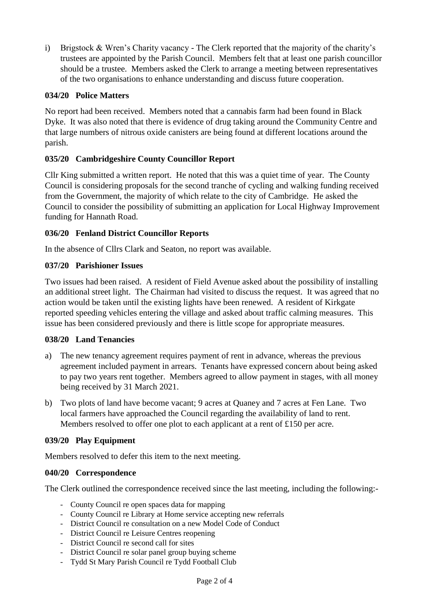i) Brigstock & Wren's Charity vacancy - The Clerk reported that the majority of the charity's trustees are appointed by the Parish Council. Members felt that at least one parish councillor should be a trustee. Members asked the Clerk to arrange a meeting between representatives of the two organisations to enhance understanding and discuss future cooperation.

# **034/20 Police Matters**

No report had been received. Members noted that a cannabis farm had been found in Black Dyke. It was also noted that there is evidence of drug taking around the Community Centre and that large numbers of nitrous oxide canisters are being found at different locations around the parish.

## **035/20 Cambridgeshire County Councillor Report**

Cllr King submitted a written report. He noted that this was a quiet time of year. The County Council is considering proposals for the second tranche of cycling and walking funding received from the Government, the majority of which relate to the city of Cambridge. He asked the Council to consider the possibility of submitting an application for Local Highway Improvement funding for Hannath Road.

# **036/20 Fenland District Councillor Reports**

In the absence of Cllrs Clark and Seaton, no report was available.

## **037/20 Parishioner Issues**

Two issues had been raised. A resident of Field Avenue asked about the possibility of installing an additional street light. The Chairman had visited to discuss the request. It was agreed that no action would be taken until the existing lights have been renewed. A resident of Kirkgate reported speeding vehicles entering the village and asked about traffic calming measures. This issue has been considered previously and there is little scope for appropriate measures.

#### **038/20 Land Tenancies**

- a) The new tenancy agreement requires payment of rent in advance, whereas the previous agreement included payment in arrears. Tenants have expressed concern about being asked to pay two years rent together. Members agreed to allow payment in stages, with all money being received by 31 March 2021.
- b) Two plots of land have become vacant; 9 acres at Quaney and 7 acres at Fen Lane. Two local farmers have approached the Council regarding the availability of land to rent. Members resolved to offer one plot to each applicant at a rent of £150 per acre.

#### **039/20 Play Equipment**

Members resolved to defer this item to the next meeting.

#### **040/20 Correspondence**

The Clerk outlined the correspondence received since the last meeting, including the following:-

- County Council re open spaces data for mapping
- County Council re Library at Home service accepting new referrals
- District Council re consultation on a new Model Code of Conduct
- District Council re Leisure Centres reopening
- District Council re second call for sites
- District Council re solar panel group buying scheme
- Tydd St Mary Parish Council re Tydd Football Club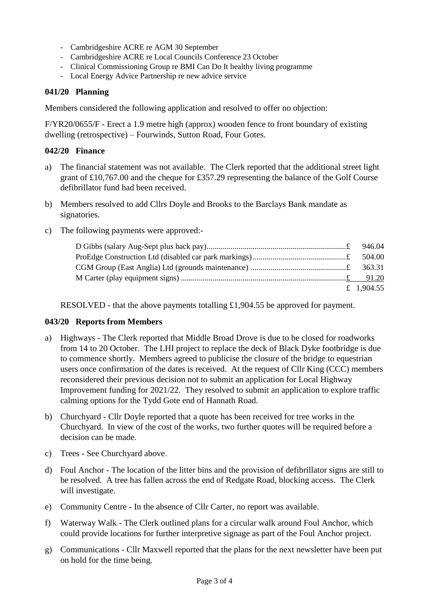- Cambridgeshire ACRE re AGM 30 September
- Cambridgeshire ACRE re Local Councils Conference 23 October
- Clinical Commissioning Group re BMI Can Do It healthy living programme
- Local Energy Advice Partnership re new advice service

#### **041/20 Planning**

Members considered the following application and resolved to offer no objection:

F/YR20/0655/F - Erect a 1.9 metre high (approx) wooden fence to front boundary of existing dwelling (retrospective) – Fourwinds, Sutton Road, Four Gotes.

## **042/20 Finance**

- a) The financial statement was not available. The Clerk reported that the additional street light grant of £10,767.00 and the cheque for £357.29 representing the balance of the Golf Course defibrillator fund had been received.
- b) Members resolved to add Cllrs Doyle and Brooks to the Barclays Bank mandate as signatories.
- c) The following payments were approved:-

| M Carter (play equipment signs) $\ldots$ $\ldots$ $\ldots$ $\ldots$ $\ldots$ $\ldots$ $\ldots$ $\ldots$ $\ldots$ $\ldots$ $\ldots$ $\ldots$ $\ldots$ $\ldots$ $\ldots$ $\ldots$ $\ldots$ $\ldots$ $\ldots$ $\ldots$ $\ldots$ $\ldots$ $\ldots$ $\ldots$ $\ldots$ $\ldots$ $\ldots$ $\ldots$ $\ldots$ $\ldots$ $\ldots$ $\ld$ |            |
|------------------------------------------------------------------------------------------------------------------------------------------------------------------------------------------------------------------------------------------------------------------------------------------------------------------------------|------------|
|                                                                                                                                                                                                                                                                                                                              | £ 1,904.55 |

RESOLVED - that the above payments totalling £1,904.55 be approved for payment.

#### **043/20 Reports from Members**

- a) Highways The Clerk reported that Middle Broad Drove is due to be closed for roadworks from 14 to 20 October. The LHI project to replace the deck of Black Dyke footbridge is due to commence shortly. Members agreed to publicise the closure of the bridge to equestrian users once confirmation of the dates is received. At the request of Cllr King (CCC) members reconsidered their previous decision not to submit an application for Local Highway Improvement funding for 2021/22. They resolved to submit an application to explore traffic calming options for the Tydd Gote end of Hannath Road.
- b) Churchyard Cllr Doyle reported that a quote has been received for tree works in the Churchyard. In view of the cost of the works, two further quotes will be required before a decision can be made.
- c) Trees See Churchyard above.
- d) Foul Anchor The location of the litter bins and the provision of defibrillator signs are still to be resolved. A tree has fallen across the end of Redgate Road, blocking access. The Clerk will investigate.
- e) Community Centre In the absence of Cllr Carter, no report was available.
- f) Waterway Walk The Clerk outlined plans for a circular walk around Foul Anchor, which could provide locations for further interpretive signage as part of the Foul Anchor project.
- g) Communications Cllr Maxwell reported that the plans for the next newsletter have been put on hold for the time being.